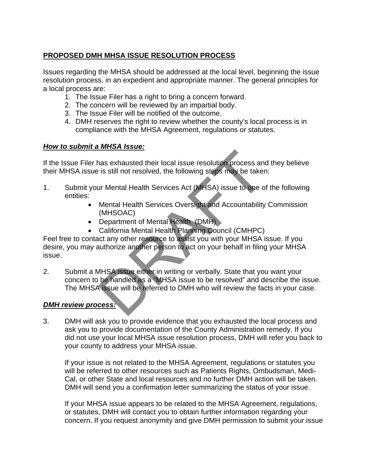## **PROPOSED DMH MHSA ISSUE RESOLUTION PROCESS**

Issues regarding the MHSA should be addressed at the local level, beginning the issue resolution process, in an expedient and appropriate manner. The general principles for a local process are:

- 1. The Issue Filer has a right to bring a concern forward.
- 2. The concern will be reviewed by an impartial body.
- 3. The Issue Filer will be notified of the outcome.
- 4. DMH reserves the right to review whether the county's local process is in compliance with the MHSA Agreement, regulations or statutes.

## *How to submit a MHSA Issue:*

If the Issue Filer has exhausted their local issue resolution process and they believe their MHSA issue is still not resolved, the following steps may be taken:

- 1. Submit your Mental Health Services Act (MHSA) issue to one of the following entities:
	- Mental Health Services Oversight and Accountability Commission (MHSOAC)
	- Department of Mental Health (DMH)
	- California Mental Health Planning Council (CMHPC)

Feel free to contact any other resource to assist you with your MHSA issue. If you desire, you may authorize another person to act on your behalf in filing your MHSA issue. The set of the set of the set of the set of the set of the set of the set of the set of the set of the set of the set of MHSA) issue to one of Mental Health Services Act (MHSA) issue to one of Mental Health Services Oversi

2. Submit a MHSA issue either in writing or verbally. State that you want your concern to be handled as a "MHSA issue to be resolved" and describe the issue. The MHSA issue will be referred to DMH who will review the facts in your case.

## *DMH review process:*

3. DMH will ask you to provide evidence that you exhausted the local process and ask you to provide documentation of the County Administration remedy. If you did not use your local MHSA issue resolution process, DMH will refer you back to your county to address your MHSA issue.

If your issue is not related to the MHSA Agreement, regulations or statutes you will be referred to other resources such as Patients Rights, Ombudsman, Medi-Cal, or other State and local resources and no further DMH action will be taken. DMH will send you a confirmation letter summarizing the status of your issue.

If your MHSA issue appears to be related to the MHSA Agreement, regulations, or statutes, DMH will contact you to obtain further information regarding your concern. If you request anonymity and give DMH permission to submit your issue